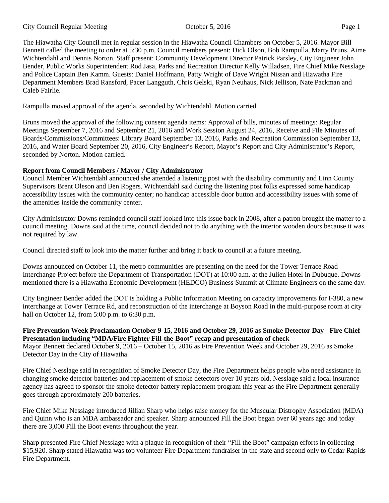#### City Council Regular Meeting October 5, 2016 Page 1

The Hiawatha City Council met in regular session in the Hiawatha Council Chambers on October 5, 2016. Mayor Bill Bennett called the meeting to order at 5:30 p.m. Council members present: Dick Olson, Bob Rampulla, Marty Bruns, Aime Wichtendahl and Dennis Norton. Staff present: Community Development Director Patrick Parsley, City Engineer John Bender, Public Works Superintendent Rod Jasa, Parks and Recreation Director Kelly Willadsen, Fire Chief Mike Nesslage and Police Captain Ben Kamm. Guests: Daniel Hoffmann, Patty Wright of Dave Wright Nissan and Hiawatha Fire Department Members Brad Ransford, Pacer Langguth, Chris Gelski, Ryan Neuhaus, Nick Jellison, Nate Packman and Caleb Fairlie.

Rampulla moved approval of the agenda, seconded by Wichtendahl. Motion carried.

Bruns moved the approval of the following consent agenda items: Approval of bills, minutes of meetings: Regular Meetings September 7, 2016 and September 21, 2016 and Work Session August 24, 2016, Receive and File Minutes of Boards/Commissions/Committees: Library Board September 13, 2016, Parks and Recreation Commission September 13, 2016, and Water Board September 20, 2016, City Engineer's Report, Mayor's Report and City Administrator's Report, seconded by Norton. Motion carried.

### **Report from Council Members / Mayor / City Administrator**

Council Member Wichtendahl announced she attended a listening post with the disability community and Linn County Supervisors Brent Oleson and Ben Rogers. Wichtendahl said during the listening post folks expressed some handicap accessibility issues with the community center; no handicap accessible door button and accessibility issues with some of the amenities inside the community center.

City Administrator Downs reminded council staff looked into this issue back in 2008, after a patron brought the matter to a council meeting. Downs said at the time, council decided not to do anything with the interior wooden doors because it was not required by law.

Council directed staff to look into the matter further and bring it back to council at a future meeting.

Downs announced on October 11, the metro communities are presenting on the need for the Tower Terrace Road Interchange Project before the Department of Transportation (DOT) at 10:00 a.m. at the Julien Hotel in Dubuque. Downs mentioned there is a Hiawatha Economic Development (HEDCO) Business Summit at Climate Engineers on the same day.

City Engineer Bender added the DOT is holding a Public Information Meeting on capacity improvements for I-380, a new interchange at Tower Terrace Rd, and reconstruction of the interchange at Boyson Road in the multi-purpose room at city hall on October 12, from 5:00 p.m. to 6:30 p.m.

#### **Fire Prevention Week Proclamation October 9-15, 2016 and October 29, 2016 as Smoke Detector Day - Fire Chief Presentation including "MDA/Fire Fighter Fill-the-Boot" recap and presentation of check**

Mayor Bennett declared October 9, 2016 – October 15, 2016 as Fire Prevention Week and October 29, 2016 as Smoke Detector Day in the City of Hiawatha.

Fire Chief Nesslage said in recognition of Smoke Detector Day, the Fire Department helps people who need assistance in changing smoke detector batteries and replacement of smoke detectors over 10 years old. Nesslage said a local insurance agency has agreed to sponsor the smoke detector battery replacement program this year as the Fire Department generally goes through approximately 200 batteries.

Fire Chief Mike Nesslage introduced Jillian Sharp who helps raise money for the Muscular Distrophy Association (MDA) and Quinn who is an MDA ambassador and speaker. Sharp announced Fill the Boot began over 60 years ago and today there are 3,000 Fill the Boot events throughout the year.

Sharp presented Fire Chief Nesslage with a plaque in recognition of their "Fill the Boot" campaign efforts in collecting \$15,920. Sharp stated Hiawatha was top volunteer Fire Department fundraiser in the state and second only to Cedar Rapids Fire Department.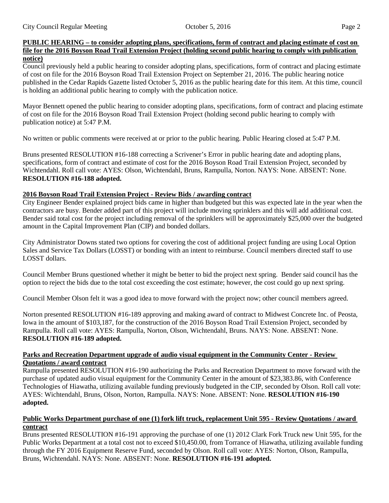Council previously held a public hearing to consider adopting plans, specifications, form of contract and placing estimate of cost on file for the 2016 Boyson Road Trail Extension Project on September 21, 2016. The public hearing notice published in the Cedar Rapids Gazette listed October 5, 2016 as the public hearing date for this item. At this time, council is holding an additional public hearing to comply with the publication notice.

Mayor Bennett opened the public hearing to consider adopting plans, specifications, form of contract and placing estimate of cost on file for the 2016 Boyson Road Trail Extension Project (holding second public hearing to comply with publication notice) at 5:47 P.M.

No written or public comments were received at or prior to the public hearing. Public Hearing closed at 5:47 P.M.

Bruns presented RESOLUTION #16-188 correcting a Scrivener's Error in public hearing date and adopting plans, specifications, form of contract and estimate of cost for the 2016 Boyson Road Trail Extension Project, seconded by Wichtendahl. Roll call vote: AYES: Olson, Wichtendahl, Bruns, Rampulla, Norton. NAYS: None. ABSENT: None. **RESOLUTION #16-188 adopted.**

# **2016 Boyson Road Trail Extension Project - Review Bids / awarding contract**

City Engineer Bender explained project bids came in higher than budgeted but this was expected late in the year when the contractors are busy. Bender added part of this project will include moving sprinklers and this will add additional cost. Bender said total cost for the project including removal of the sprinklers will be approximately \$25,000 over the budgeted amount in the Capital Improvement Plan (CIP) and bonded dollars.

City Administrator Downs stated two options for covering the cost of additional project funding are using Local Option Sales and Service Tax Dollars (LOSST) or bonding with an intent to reimburse. Council members directed staff to use LOSST dollars.

Council Member Bruns questioned whether it might be better to bid the project next spring. Bender said council has the option to reject the bids due to the total cost exceeding the cost estimate; however, the cost could go up next spring.

Council Member Olson felt it was a good idea to move forward with the project now; other council members agreed.

Norton presented RESOLUTION #16-189 approving and making award of contract to Midwest Concrete Inc. of Peosta, Iowa in the amount of \$103,187, for the construction of the 2016 Boyson Road Trail Extension Project, seconded by Rampulla. Roll call vote: AYES: Rampulla, Norton, Olson, Wichtendahl, Bruns. NAYS: None. ABSENT: None. **RESOLUTION #16-189 adopted.**

## **Parks and Recreation Department upgrade of audio visual equipment in the Community Center - Review Quotations / award contract**

Rampulla presented RESOLUTION #16-190 authorizing the Parks and Recreation Department to move forward with the purchase of updated audio visual equipment for the Community Center in the amount of \$23,383.86, with Conference Technologies of Hiawatha, utilizing available funding previously budgeted in the CIP, seconded by Olson. Roll call vote: AYES: Wichtendahl, Bruns, Olson, Norton, Rampulla. NAYS: None. ABSENT: None. **RESOLUTION #16-190 adopted.**

# **Public Works Department purchase of one (1) fork lift truck, replacement Unit 595 - Review Quotations / award contract**

Bruns presented RESOLUTION #16-191 approving the purchase of one (1) 2012 Clark Fork Truck new Unit 595, for the Public Works Department at a total cost not to exceed \$10,450.00, from Torrance of Hiawatha, utilizing available funding through the FY 2016 Equipment Reserve Fund, seconded by Olson. Roll call vote: AYES: Norton, Olson, Rampulla, Bruns, Wichtendahl. NAYS: None. ABSENT: None. **RESOLUTION #16-191 adopted.**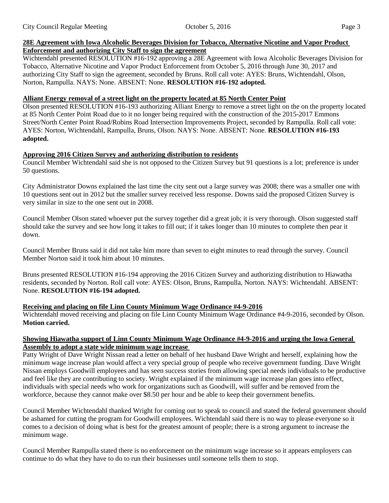### **28E Agreement with Iowa Alcoholic Beverages Division for Tobacco, Alternative Nicotine and Vapor Product Enforcement and authorizing City Staff to sign the agreement**

Wichtendahl presented RESOLUTION #16-192 approving a 28E Agreement with Iowa Alcoholic Beverages Division for Tobacco, Alternative Nicotine and Vapor Product Enforcement from October 5, 2016 through June 30, 2017 and authorizing City Staff to sign the agreement, seconded by Bruns. Roll call vote: AYES: Bruns, Wichtendahl, Olson, Norton, Rampulla. NAYS: None. ABSENT: None. **RESOLUTION #16-192 adopted.**

### **Alliant Energy removal of a street light on the property located at 85 North Center Point**

Olson presented RESOLUTION #16-193 authorizing Alliant Energy to remove a street light on the on the property located at 85 North Center Point Road due to it no longer being required with the construction of the 2015-2017 Emmons Street/North Center Point Road/Robins Road Intersection Improvements Project, seconded by Rampulla. Roll call vote: AYES: Norton, Wichtendahl, Rampulla, Bruns, Olson. NAYS: None. ABSENT: None. **RESOLUTION #16-193 adopted.**

### **Approving 2016 Citizen Survey and authorizing distribution to residents**

Council Member Wichtendahl said she is not opposed to the Citizen Survey but 91 questions is a lot; preference is under 50 questions.

City Administrator Downs explained the last time the city sent out a large survey was 2008; there was a smaller one with 10 questions sent out in 2012 but the smaller survey received less response. Downs said the proposed Citizen Survey is very similar in size to the one sent out in 2008.

Council Member Olson stated whoever put the survey together did a great job; it is very thorough. Olson suggested staff should take the survey and see how long it takes to fill out; if it takes longer than 10 minutes to complete then pear it down.

Council Member Bruns said it did not take him more than seven to eight minutes to read through the survey. Council Member Norton said it took him about 10 minutes.

Bruns presented RESOLUTION #16-194 approving the 2016 Citizen Survey and authorizing distribution to Hiawatha residents, seconded by Norton. Roll call vote: AYES: Olson, Bruns, Rampulla, Norton. NAYS: Wichtendahl. ABSENT: None. **RESOLUTION #16-194 adopted.**

### **Receiving and placing on file Linn County Minimum Wage Ordinance #4-9-2016**

Wichtendahl moved receiving and placing on file Linn County Minimum Wage Ordinance #4-9-2016, seconded by Olson. **Motion carried.**

#### **Showing Hiawatha support of Linn County Minimum Wage Ordinance #4-9-2016 and urging the Iowa General Assembly to adopt a state wide minimum wage increase**

Patty Wright of Dave Wright Nissan read a letter on behalf of her husband Dave Wright and herself, explaining how the minimum wage increase plan would affect a very special group of people who receive government funding. Dave Wright Nissan employs Goodwill employees and has seen success stories from allowing special needs individuals to be productive and feel like they are contributing to society. Wright explained if the minimum wage increase plan goes into effect, individuals with special needs who work for organizations such as Goodwill, will suffer and be removed from the workforce, because they cannot make over \$8.50 per hour and be able to keep their government benefits.

Council Member Wichtendahl thanked Wright for coming out to speak to council and stated the federal government should be ashamed for cutting the program for Goodwill employees. Wichtendahl said there is no way to please everyone so it comes to a decision of doing what is best for the greatest amount of people; there is a strong argument to increase the minimum wage.

Council Member Rampulla stated there is no enforcement on the minimum wage increase so it appears employers can continue to do what they have to do to run their businesses until someone tells them to stop.